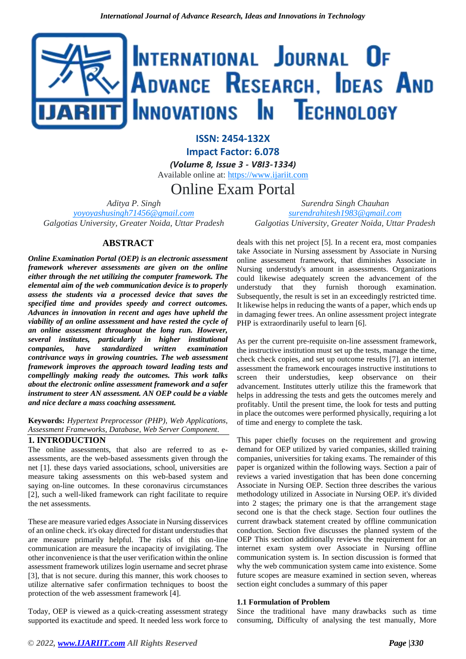# INTERNATIONAL JOURNAL OF ADVANCE RESEARCH, IDEAS AND Innovations In Technology

**ISSN: 2454-132X Impact Factor: 6.078**

*(Volume 8, Issue 3 - V8I3-1334)* Available online at: [https://www.ijariit.com](https://www.ijariit.com/?utm_source=pdf&utm_medium=edition&utm_campaign=OmAkSols&utm_term=V8I3-1334)

Online Exam Portal

*Aditya P. Singh [yoyoyashusingh71456@gmail.com](mailto:yoyoyashusingh71456@gmail.com) Galgotias University, Greater Noida, Uttar Pradesh*

*Surendra Singh Chauhan [surendrahitesh1983@gmail.com](mailto:surendrahitesh1983@gmail.com) Galgotias University, Greater Noida, Uttar Pradesh*

# **ABSTRACT**

*Online Examination Portal (OEP) is an electronic assessment framework wherever assessments are given on the online either through the net utilizing the computer framework. The elemental aim of the web communication device is to properly assess the students via a processed device that saves the specified time and provides speedy and correct outcomes. Advances in innovation in recent and ages have upheld the viability of an online assessment and have rested the cycle of an online assessment throughout the long run. However, several institutes, particularly in higher institutional companies, have standardized written examination contrivance ways in growing countries. The web assessment framework improves the approach toward leading tests and compellingly making ready the outcomes. This work talks about the electronic online assessment framework and a safer instrument to steer AN assessment. AN OEP could be a viable and nice declare a mass coaching assessment.*

**Keywords:** *Hypertext Preprocessor (PHP), Web Applications, Assessment Frameworks, Database, Web Server Component.*

#### **1. INTRODUCTION**

The online assessments, that also are referred to as eassessments, are the web-based assessments given through the net [1]. these days varied associations, school, universities are measure taking assessments on this web-based system and saying on-line outcomes. In these coronavirus circumstances [2], such a well-liked framework can right facilitate to require the net assessments.

These are measure varied edges Associate in Nursing disservices of an online check. it's okay directed for distant understudies that are measure primarily helpful. The risks of this on-line communication are measure the incapacity of invigilating. The other inconvenience is that the user verification within the online assessment framework utilizes login username and secret phrase [3], that is not secure. during this manner, this work chooses to utilize alternative safer confirmation techniques to boost the protection of the web assessment framework [4].

Today, OEP is viewed as a quick-creating assessment strategy supported its exactitude and speed. It needed less work force to

deals with this net project [5]. In a recent era, most companies take Associate in Nursing assessment by Associate in Nursing online assessment framework, that diminishes Associate in Nursing understudy's amount in assessments. Organizations could likewise adequately screen the advancement of the understudy that they furnish thorough examination. Subsequently, the result is set in an exceedingly restricted time. It likewise helps in reducing the wants of a paper, which ends up in damaging fewer trees. An online assessment project integrate PHP is extraordinarily useful to learn [6].

As per the current pre-requisite on-line assessment framework, the instructive institution must set up the tests, manage the time, check check copies, and set up outcome results [7]. an internet assessment the framework encourages instructive institutions to screen their understudies, keep observance on their advancement. Institutes utterly utilize this the framework that helps in addressing the tests and gets the outcomes merely and profitably. Until the present time, the look for tests and putting in place the outcomes were performed physically, requiring a lot of time and energy to complete the task.

This paper chiefly focuses on the requirement and growing demand for OEP utilized by varied companies, skilled training companies, universities for taking exams. The remainder of this paper is organized within the following ways. Section a pair of reviews a varied investigation that has been done concerning Associate in Nursing OEP. Section three describes the various methodology utilized in Associate in Nursing OEP. it's divided into 2 stages; the primary one is that the arrangement stage second one is that the check stage. Section four outlines the current drawback statement created by offline communication conduction. Section five discusses the planned system of the OEP This section additionally reviews the requirement for an internet exam system over Associate in Nursing offline communication system is. In section discussion is formed that why the web communication system came into existence. Some future scopes are measure examined in section seven, whereas section eight concludes a summary of this paper

#### **1.1 Formulation of Problem**

Since the traditional have many drawbacks such as time consuming, Difficulty of analysing the test manually, More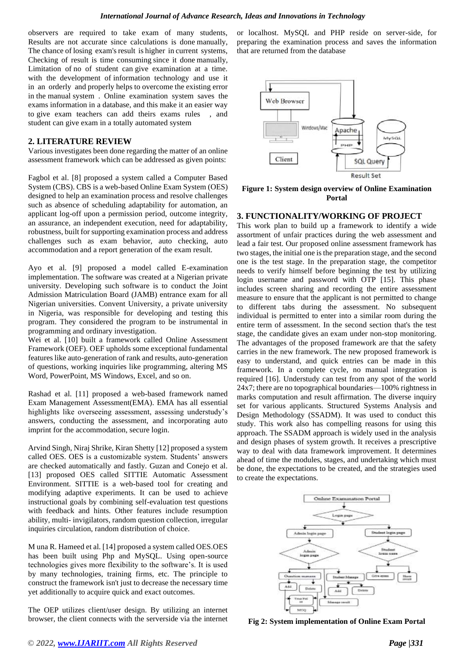observers are required to take exam of many students, Results are not accurate since calculations is done manually, The chance of losing exam's result is higher in current systems, Checking of result is time consuming since it done manually, Limitation of no of student can give examination at a time. with the development of information technology and use it in an orderly and properly helps to overcome the existing error in the manual system . Online examination system saves the exams information in a database, and this make it an easier way to give exam teachers can add theirs exams rules , and student can give exam in a totally automated system

#### **2. LITERATURE REVIEW**

Various investigates been done regarding the matter of an online assessment framework which can be addressed as given points:

Fagbol et al. [8] proposed a system called a Computer Based System (CBS). CBS is a web-based Online Exam System (OES) designed to help an examination process and resolve challenges such as absence of scheduling adaptability for automation, an applicant log-off upon a permission period, outcome integrity, an assurance, an independent execution, need for adaptability, robustness, built for supporting examination process and address challenges such as exam behavior, auto checking, auto accommodation and a report generation of the exam result.

Ayo et al. [9] proposed a model called E-examination implementation. The software was created at a Nigerian private university. Developing such software is to conduct the Joint Admission Matriculation Board (JAMB) entrance exam for all Nigerian universities. Convent University, a private university in Nigeria, was responsible for developing and testing this program. They considered the program to be instrumental in programming and ordinary investigation.

Wei et al. [10] built a framework called Online Assessment Framework (OEF). OEF upholds some exceptional fundamental features like auto-generation of rank and results, auto-generation of questions, working inquiries like programming, altering MS Word, PowerPoint, MS Windows, Excel, and so on.

Rashad et al. [11] proposed a web-based framework named Exam Management Assessment(EMA). EMA has all essential highlights like overseeing assessment, assessing understudy's answers, conducting the assessment, and incorporating auto imprint for the accommodation, secure login.

Arvind Singh, Niraj Shrike, Kiran Shetty [12] proposed a system called OES. OES is a customizable system. Students' answers are checked automatically and fastly. Guzan and Conejo et al. [13] proposed OES called SITTIE Automatic Assessment Environment. SITTIE is a web-based tool for creating and modifying adaptive experiments. It can be used to achieve instructional goals by combining self-evaluation test questions with feedback and hints. Other features include resumption ability, multi- invigilators, random question collection, irregular inquiries circulation, random distribution of choice.

M una R. Hameed et al. [14] proposed a system called OES.OES has been built using Php and MySQL. Using open-source technologies gives more flexibility to the software's. It is used by many technologies, training firms, etc. The principle to construct the framework isn't just to decrease the necessary time yet additionally to acquire quick and exact outcomes.

The OEP utilizes client/user design. By utilizing an internet browser, the client connects with the serverside via the internet or localhost. MySQL and PHP reside on server-side, for preparing the examination process and saves the information that are returned from the database



**Figure 1: System design overview of Online Examination Portal**

## **3. FUNCTIONALITY/WORKING OF PROJECT**

This work plan to build up a framework to identify a wide assortment of unfair practices during the web assessment and lead a fair test. Our proposed online assessment framework has two stages, the initial one is the preparation stage, and the second one is the test stage. In the preparation stage, the competitor needs to verify himself before beginning the test by utilizing login username and password with OTP [15]. This phase includes screen sharing and recording the entire assessment measure to ensure that the applicant is not permitted to change to different tabs during the assessment. No subsequent individual is permitted to enter into a similar room during the entire term of assessment. In the second section that's the test stage, the candidate gives an exam under non-stop monitoring. The advantages of the proposed framework are that the safety carries in the new framework. The new proposed framework is easy to understand, and quick entries can be made in this framework. In a complete cycle, no manual integration is required [16]. Understudy can test from any spot of the world 24x7; there are no topographical boundaries—100% rightness in marks computation and result affirmation. The diverse inquiry set for various applicants. Structured Systems Analysis and Design Methodology (SSADM). It was used to conduct this study. This work also has compelling reasons for using this approach. The SSADM approach is widely used in the analysis and design phases of system growth. It receives a prescriptive way to deal with data framework improvement. It determines ahead of time the modules, stages, and undertaking which must be done, the expectations to be created, and the strategies used to create the expectations.



**Fig 2: System implementation of Online Exam Portal**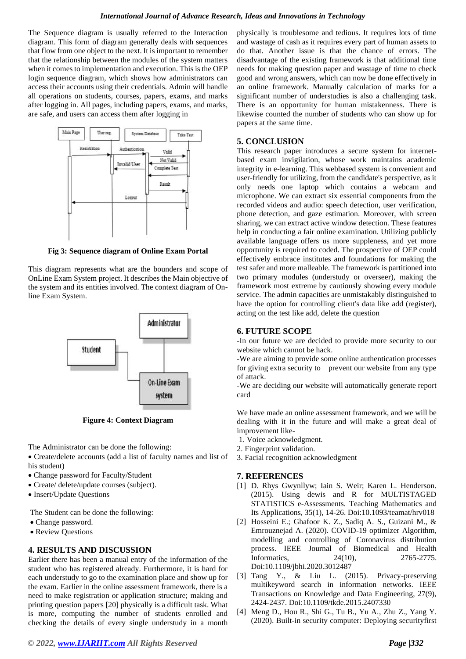#### *International Journal of Advance Research, Ideas and Innovations in Technology*

The Sequence diagram is usually referred to the Interaction diagram. This form of diagram generally deals with sequences that flow from one object to the next. It is important to remember that the relationship between the modules of the system matters when it comes to implementation and execution. This is the OEP login sequence diagram, which shows how administrators can access their accounts using their credentials. Admin will handle all operations on students, courses, papers, exams, and marks after logging in. All pages, including papers, exams, and marks, are safe, and users can access them after logging in



**Fig 3: Sequence diagram of Online Exam Portal**

This diagram represents what are the bounders and scope of OnLine Exam System project. It describes the Main objective of the system and its entities involved. The context diagram of Online Exam System.



**Figure 4: Context Diagram**

The Administrator can be done the following:

• Create/delete accounts (add a list of faculty names and list of his student)

- Change password for Faculty/Student
- Create/ delete/update courses (subject).
- Insert/Update Questions

The Student can be done the following:

- Change password.
- Review Questions

# **4. RESULTS AND DISCUSSION**

Earlier there has been a manual entry of the information of the student who has registered already. Furthermore, it is hard for each understudy to go to the examination place and show up for the exam. Earlier in the online assessment framework, there is a need to make registration or application structure; making and printing question papers [20] physically is a difficult task. What is more, computing the number of students enrolled and checking the details of every single understudy in a month

*© 2022[, www.IJARIIT.com](file:///C:/omak/Downloads/www.IJARIIT.com) All Rights Reserved Page |332*

physically is troublesome and tedious. It requires lots of time and wastage of cash as it requires every part of human assets to do that. Another issue is that the chance of errors. The disadvantage of the existing framework is that additional time needs for making question paper and wastage of time to check good and wrong answers, which can now be done effectively in an online framework. Manually calculation of marks for a significant number of understudies is also a challenging task. There is an opportunity for human mistakenness. There is likewise counted the number of students who can show up for papers at the same time.

## **5. CONCLUSION**

This research paper introduces a secure system for internetbased exam invigilation, whose work maintains academic integrity in e-learning. This webbased system is convenient and user-friendly for utilizing, from the candidate's perspective, as it only needs one laptop which contains a webcam and microphone. We can extract six essential components from the recorded videos and audio: speech detection, user verification, phone detection, and gaze estimation. Moreover, with screen sharing, we can extract active window detection. These features help in conducting a fair online examination. Utilizing publicly available language offers us more suppleness, and yet more opportunity is required to coded. The prospective of OEP could effectively embrace institutes and foundations for making the test safer and more malleable. The framework is partitioned into two primary modules (understudy or overseer), making the framework most extreme by cautiously showing every module service. The admin capacities are unmistakably distinguished to have the option for controlling client's data like add (register), acting on the test like add, delete the question

## **6. FUTURE SCOPE**

-In our future we are decided to provide more security to our website which cannot be hack.

-We are aiming to provide some online authentication processes for giving extra security to prevent our website from any type of attack.

-We are deciding our website will automatically generate report card

We have made an online assessment framework, and we will be dealing with it in the future and will make a great deal of improvement like-

- 1. Voice acknowledgment.
- 2. Fingerprint validation.
- 3. Facial recognition acknowledgment

# **7. REFERENCES**

- [1] D. Rhys Gwynllyw; Iain S. Weir; Karen L. Henderson. (2015). Using dewis and R for MULTISTAGED STATISTICS e-Assessments. Teaching Mathematics and Its Applications, 35(1), 14-26. Doi:10.1093/teamat/hrv018
- [2] Hosseini E.; Ghafoor K. Z., Sadiq A. S., Guizani M., & Emrouznejad A. (2020). COVID-19 optimizer Algorithm, modelling and controlling of Coronavirus distribution process. IEEE Journal of Biomedical and Health Informatics, 24(10), 2765-2775. Doi:10.1109/jbhi.2020.3012487
- [3] Tang Y., & Liu L. (2015). Privacy-preserving multikeyword search in information networks. IEEE Transactions on Knowledge and Data Engineering, 27(9), 2424-2437. Doi:10.1109/tkde.2015.2407330
- [4] Meng D., Hou R., Shi G., Tu B., Yu A., Zhu Z., Yang Y. (2020). Built-in security computer: Deploying securityfirst